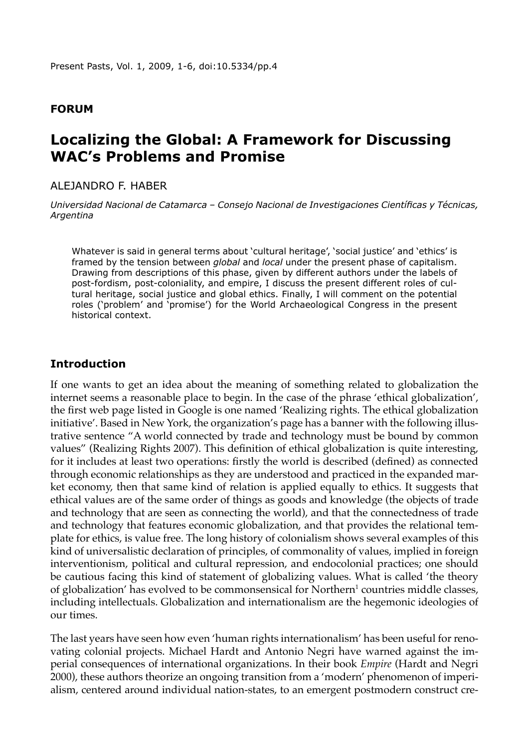### **Forum**

# **Localizing the Global: A Framework for Discussing WAC's Problems and Promise**

### Alejandro F. Haber

*Universidad Nacional de Catamarca – Consejo Nacional de Investigaciones Científicas y Técnicas, Argentina* 

Whatever is said in general terms about 'cultural heritage', 'social justice' and 'ethics' is framed by the tension between *global* and *local* under the present phase of capitalism. Drawing from descriptions of this phase, given by different authors under the labels of post-fordism, post-coloniality, and empire, I discuss the present different roles of cultural heritage, social justice and global ethics. Finally, I will comment on the potential roles ('problem' and 'promise') for the World Archaeological Congress in the present historical context.

### **Introduction**

If one wants to get an idea about the meaning of something related to globalization the internet seems a reasonable place to begin. In the case of the phrase 'ethical globalization', the first web page listed in Google is one named 'Realizing rights. The ethical globalization initiative'. Based in New York, the organization's page has a banner with the following illustrative sentence "A world connected by trade and technology must be bound by common values" (Realizing Rights 2007). This definition of ethical globalization is quite interesting, for it includes at least two operations: firstly the world is described (defined) as connected through economic relationships as they are understood and practiced in the expanded market economy, then that same kind of relation is applied equally to ethics. It suggests that ethical values are of the same order of things as goods and knowledge (the objects of trade and technology that are seen as connecting the world), and that the connectedness of trade and technology that features economic globalization, and that provides the relational template for ethics, is value free. The long history of colonialism shows several examples of this kind of universalistic declaration of principles, of commonality of values, implied in foreign interventionism, political and cultural repression, and endocolonial practices; one should be cautious facing this kind of statement of globalizing values. What is called 'the theory of globalization' has evolved to be commonsensical for Northern<sup>1</sup> countries middle classes, including intellectuals. Globalization and internationalism are the hegemonic ideologies of our times.

The last years have seen how even 'human rights internationalism' has been useful for renovating colonial projects. Michael Hardt and Antonio Negri have warned against the imperial consequences of international organizations. In their book *Empire* (Hardt and Negri 2000), these authors theorize an ongoing transition from a 'modern' phenomenon of imperialism, centered around individual nation-states, to an emergent postmodern construct cre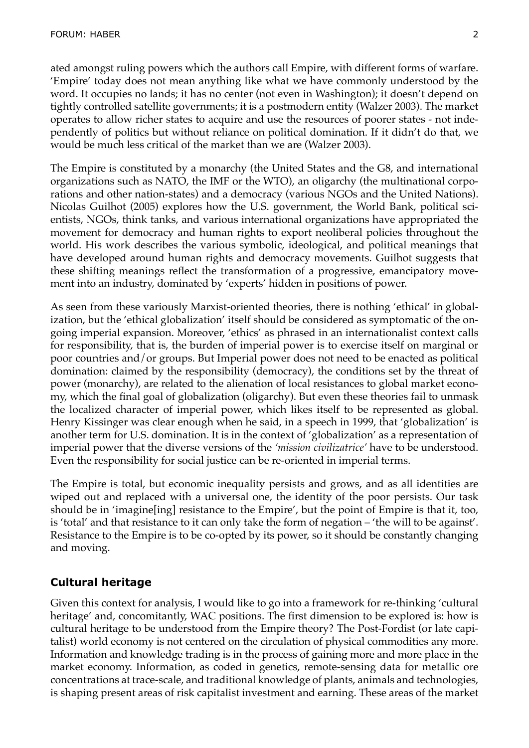ated amongst ruling powers which the authors call Empire, with different forms of warfare. 'Empire' today does not mean anything like what we have commonly understood by the word. It occupies no lands; it has no center (not even in Washington); it doesn't depend on tightly controlled satellite governments; it is a postmodern entity (Walzer 2003). The market operates to allow richer states to acquire and use the resources of poorer states - not independently of politics but without reliance on political domination. If it didn't do that, we would be much less critical of the market than we are (Walzer 2003).

The Empire is constituted by a monarchy (the United States and the G8, and international organizations such as NATO, the IMF or the WTO), an oligarchy (the multinational corporations and other nation-states) and a democracy (various NGOs and the United Nations). Nicolas Guilhot (2005) explores how the U.S. government, the World Bank, political scientists, NGOs, think tanks, and various international organizations have appropriated the movement for democracy and human rights to export neoliberal policies throughout the world. His work describes the various symbolic, ideological, and political meanings that have developed around human rights and democracy movements. Guilhot suggests that these shifting meanings reflect the transformation of a progressive, emancipatory movement into an industry, dominated by 'experts' hidden in positions of power.

As seen from these variously Marxist-oriented theories, there is nothing 'ethical' in globalization, but the 'ethical globalization' itself should be considered as symptomatic of the ongoing imperial expansion. Moreover, 'ethics' as phrased in an internationalist context calls for responsibility, that is, the burden of imperial power is to exercise itself on marginal or poor countries and/or groups. But Imperial power does not need to be enacted as political domination: claimed by the responsibility (democracy), the conditions set by the threat of power (monarchy), are related to the alienation of local resistances to global market economy, which the final goal of globalization (oligarchy). But even these theories fail to unmask the localized character of imperial power, which likes itself to be represented as global. Henry Kissinger was clear enough when he said, in a speech in 1999, that 'globalization' is another term for U.S. domination. It is in the context of 'globalization' as a representation of imperial power that the diverse versions of the *'mission civilizatrice'* have to be understood. Even the responsibility for social justice can be re-oriented in imperial terms.

The Empire is total, but economic inequality persists and grows, and as all identities are wiped out and replaced with a universal one, the identity of the poor persists. Our task should be in 'imagine[ing] resistance to the Empire', but the point of Empire is that it, too, is 'total' and that resistance to it can only take the form of negation – 'the will to be against'. Resistance to the Empire is to be co-opted by its power, so it should be constantly changing and moving.

# **Cultural heritage**

Given this context for analysis, I would like to go into a framework for re-thinking 'cultural heritage' and, concomitantly, WAC positions. The first dimension to be explored is: how is cultural heritage to be understood from the Empire theory? The Post-Fordist (or late capitalist) world economy is not centered on the circulation of physical commodities any more. Information and knowledge trading is in the process of gaining more and more place in the market economy. Information, as coded in genetics, remote-sensing data for metallic ore concentrations at trace-scale, and traditional knowledge of plants, animals and technologies, is shaping present areas of risk capitalist investment and earning. These areas of the market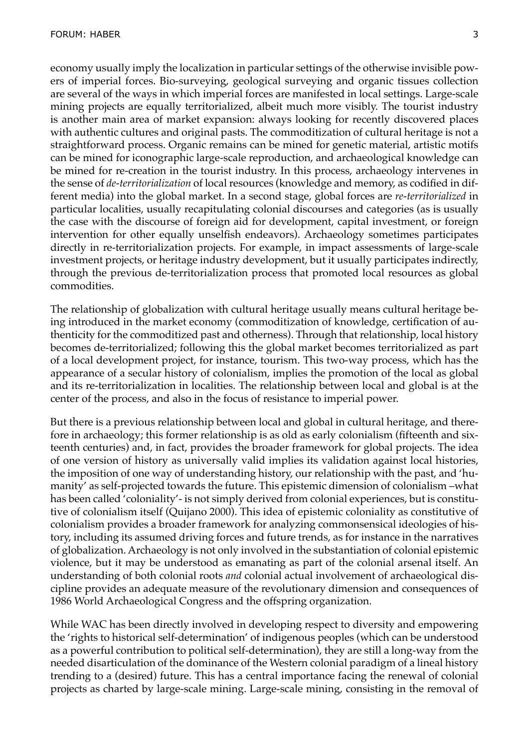economy usually imply the localization in particular settings of the otherwise invisible powers of imperial forces. Bio-surveying, geological surveying and organic tissues collection are several of the ways in which imperial forces are manifested in local settings. Large-scale mining projects are equally territorialized, albeit much more visibly. The tourist industry is another main area of market expansion: always looking for recently discovered places with authentic cultures and original pasts. The commoditization of cultural heritage is not a straightforward process. Organic remains can be mined for genetic material, artistic motifs can be mined for iconographic large-scale reproduction, and archaeological knowledge can be mined for re-creation in the tourist industry. In this process, archaeology intervenes in the sense of *de-territorialization* of local resources (knowledge and memory, as codified in different media) into the global market. In a second stage, global forces are *re-territorialized* in particular localities, usually recapitulating colonial discourses and categories (as is usually the case with the discourse of foreign aid for development, capital investment, or foreign intervention for other equally unselfish endeavors). Archaeology sometimes participates directly in re-territorialization projects. For example, in impact assessments of large-scale investment projects, or heritage industry development, but it usually participates indirectly, through the previous de-territorialization process that promoted local resources as global commodities.

The relationship of globalization with cultural heritage usually means cultural heritage being introduced in the market economy (commoditization of knowledge, certification of authenticity for the commoditized past and otherness). Through that relationship, local history becomes de-territorialized; following this the global market becomes territorialized as part of a local development project, for instance, tourism. This two-way process, which has the appearance of a secular history of colonialism, implies the promotion of the local as global and its re-territorialization in localities. The relationship between local and global is at the center of the process, and also in the focus of resistance to imperial power.

But there is a previous relationship between local and global in cultural heritage, and therefore in archaeology; this former relationship is as old as early colonialism (fifteenth and sixteenth centuries) and, in fact, provides the broader framework for global projects. The idea of one version of history as universally valid implies its validation against local histories, the imposition of one way of understanding history, our relationship with the past, and 'humanity' as self-projected towards the future. This epistemic dimension of colonialism –what has been called 'coloniality'- is not simply derived from colonial experiences, but is constitutive of colonialism itself (Quijano 2000). This idea of epistemic coloniality as constitutive of colonialism provides a broader framework for analyzing commonsensical ideologies of history, including its assumed driving forces and future trends, as for instance in the narratives of globalization. Archaeology is not only involved in the substantiation of colonial epistemic violence, but it may be understood as emanating as part of the colonial arsenal itself. An understanding of both colonial roots *and* colonial actual involvement of archaeological discipline provides an adequate measure of the revolutionary dimension and consequences of 1986 World Archaeological Congress and the offspring organization.

While WAC has been directly involved in developing respect to diversity and empowering the 'rights to historical self-determination' of indigenous peoples (which can be understood as a powerful contribution to political self-determination), they are still a long-way from the needed disarticulation of the dominance of the Western colonial paradigm of a lineal history trending to a (desired) future. This has a central importance facing the renewal of colonial projects as charted by large-scale mining. Large-scale mining, consisting in the removal of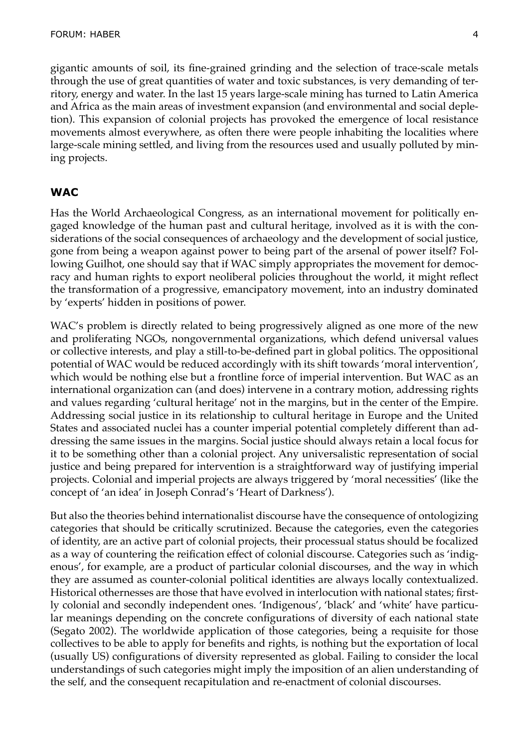gigantic amounts of soil, its fine-grained grinding and the selection of trace-scale metals through the use of great quantities of water and toxic substances, is very demanding of territory, energy and water. In the last 15 years large-scale mining has turned to Latin America and Africa as the main areas of investment expansion (and environmental and social depletion). This expansion of colonial projects has provoked the emergence of local resistance movements almost everywhere, as often there were people inhabiting the localities where large-scale mining settled, and living from the resources used and usually polluted by mining projects.

### **WAC**

Has the World Archaeological Congress, as an international movement for politically engaged knowledge of the human past and cultural heritage, involved as it is with the considerations of the social consequences of archaeology and the development of social justice, gone from being a weapon against power to being part of the arsenal of power itself? Following Guilhot, one should say that if WAC simply appropriates the movement for democracy and human rights to export neoliberal policies throughout the world, it might reflect the transformation of a progressive, emancipatory movement, into an industry dominated by 'experts' hidden in positions of power.

WAC's problem is directly related to being progressively aligned as one more of the new and proliferating NGOs, nongovernmental organizations, which defend universal values or collective interests, and play a still-to-be-defined part in global politics. The oppositional potential of WAC would be reduced accordingly with its shift towards 'moral intervention', which would be nothing else but a frontline force of imperial intervention. But WAC as an international organization can (and does) intervene in a contrary motion, addressing rights and values regarding 'cultural heritage' not in the margins, but in the center of the Empire. Addressing social justice in its relationship to cultural heritage in Europe and the United States and associated nuclei has a counter imperial potential completely different than addressing the same issues in the margins. Social justice should always retain a local focus for it to be something other than a colonial project. Any universalistic representation of social justice and being prepared for intervention is a straightforward way of justifying imperial projects. Colonial and imperial projects are always triggered by 'moral necessities' (like the concept of 'an idea' in Joseph Conrad's 'Heart of Darkness').

But also the theories behind internationalist discourse have the consequence of ontologizing categories that should be critically scrutinized. Because the categories, even the categories of identity, are an active part of colonial projects, their processual status should be focalized as a way of countering the reification effect of colonial discourse. Categories such as 'indigenous', for example, are a product of particular colonial discourses, and the way in which they are assumed as counter-colonial political identities are always locally contextualized. Historical othernesses are those that have evolved in interlocution with national states; firstly colonial and secondly independent ones. 'Indigenous', 'black' and 'white' have particular meanings depending on the concrete configurations of diversity of each national state (Segato 2002). The worldwide application of those categories, being a requisite for those collectives to be able to apply for benefits and rights, is nothing but the exportation of local (usually US) configurations of diversity represented as global. Failing to consider the local understandings of such categories might imply the imposition of an alien understanding of the self, and the consequent recapitulation and re-enactment of colonial discourses.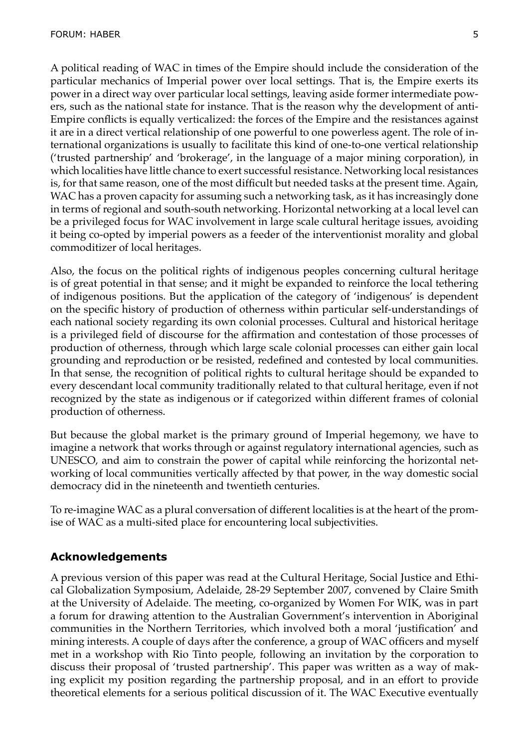A political reading of WAC in times of the Empire should include the consideration of the particular mechanics of Imperial power over local settings. That is, the Empire exerts its power in a direct way over particular local settings, leaving aside former intermediate powers, such as the national state for instance. That is the reason why the development of anti-Empire conflicts is equally verticalized: the forces of the Empire and the resistances against it are in a direct vertical relationship of one powerful to one powerless agent. The role of international organizations is usually to facilitate this kind of one-to-one vertical relationship ('trusted partnership' and 'brokerage', in the language of a major mining corporation), in which localities have little chance to exert successful resistance. Networking local resistances is, for that same reason, one of the most difficult but needed tasks at the present time. Again, WAC has a proven capacity for assuming such a networking task, as it has increasingly done in terms of regional and south-south networking. Horizontal networking at a local level can be a privileged focus for WAC involvement in large scale cultural heritage issues, avoiding it being co-opted by imperial powers as a feeder of the interventionist morality and global commoditizer of local heritages.

Also, the focus on the political rights of indigenous peoples concerning cultural heritage is of great potential in that sense; and it might be expanded to reinforce the local tethering of indigenous positions. But the application of the category of 'indigenous' is dependent on the specific history of production of otherness within particular self-understandings of each national society regarding its own colonial processes. Cultural and historical heritage is a privileged field of discourse for the affirmation and contestation of those processes of production of otherness, through which large scale colonial processes can either gain local grounding and reproduction or be resisted, redefined and contested by local communities. In that sense, the recognition of political rights to cultural heritage should be expanded to every descendant local community traditionally related to that cultural heritage, even if not recognized by the state as indigenous or if categorized within different frames of colonial production of otherness.

But because the global market is the primary ground of Imperial hegemony, we have to imagine a network that works through or against regulatory international agencies, such as UNESCO, and aim to constrain the power of capital while reinforcing the horizontal networking of local communities vertically affected by that power, in the way domestic social democracy did in the nineteenth and twentieth centuries.

To re-imagine WAC as a plural conversation of different localities is at the heart of the promise of WAC as a multi-sited place for encountering local subjectivities.

# **Acknowledgements**

A previous version of this paper was read at the Cultural Heritage, Social Justice and Ethical Globalization Symposium, Adelaide, 28-29 September 2007, convened by Claire Smith at the University of Adelaide. The meeting, co-organized by Women For WIK, was in part a forum for drawing attention to the Australian Government's intervention in Aboriginal communities in the Northern Territories, which involved both a moral 'justification' and mining interests. A couple of days after the conference, a group of WAC officers and myself met in a workshop with Rio Tinto people, following an invitation by the corporation to discuss their proposal of 'trusted partnership'. This paper was written as a way of making explicit my position regarding the partnership proposal, and in an effort to provide theoretical elements for a serious political discussion of it. The WAC Executive eventually